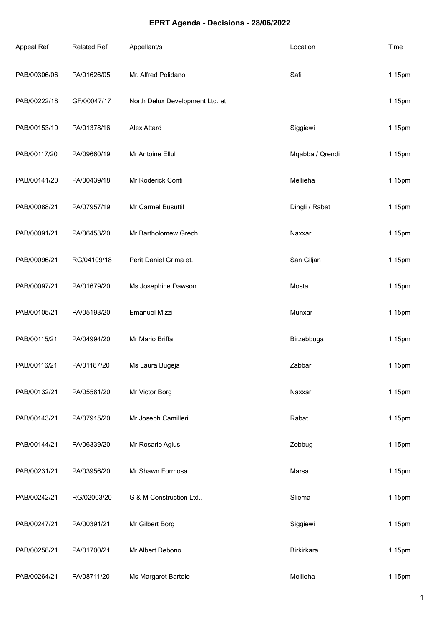## **EPRT Agenda - Decisions - 28/06/2022**

| <b>Appeal Ref</b> | <b>Related Ref</b> | Appellant/s                      | Location        | <b>Time</b> |
|-------------------|--------------------|----------------------------------|-----------------|-------------|
| PAB/00306/06      | PA/01626/05        | Mr. Alfred Polidano              | Safi            | 1.15pm      |
| PAB/00222/18      | GF/00047/17        | North Delux Development Ltd. et. |                 | 1.15pm      |
| PAB/00153/19      | PA/01378/16        | <b>Alex Attard</b>               | Siggiewi        | 1.15pm      |
| PAB/00117/20      | PA/09660/19        | Mr Antoine Ellul                 | Mqabba / Qrendi | 1.15pm      |
| PAB/00141/20      | PA/00439/18        | Mr Roderick Conti                | Mellieha        | 1.15pm      |
| PAB/00088/21      | PA/07957/19        | Mr Carmel Busuttil               | Dingli / Rabat  | 1.15pm      |
| PAB/00091/21      | PA/06453/20        | Mr Bartholomew Grech             | Naxxar          | 1.15pm      |
| PAB/00096/21      | RG/04109/18        | Perit Daniel Grima et.           | San Giljan      | 1.15pm      |
| PAB/00097/21      | PA/01679/20        | Ms Josephine Dawson              | Mosta           | 1.15pm      |
| PAB/00105/21      | PA/05193/20        | <b>Emanuel Mizzi</b>             | Munxar          | 1.15pm      |
| PAB/00115/21      | PA/04994/20        | Mr Mario Briffa                  | Birzebbuga      | 1.15pm      |
| PAB/00116/21      | PA/01187/20        | Ms Laura Bugeja                  | Zabbar          | 1.15pm      |
| PAB/00132/21      | PA/05581/20        | Mr Victor Borg                   | Naxxar          | 1.15pm      |
| PAB/00143/21      | PA/07915/20        | Mr Joseph Camilleri              | Rabat           | 1.15pm      |
| PAB/00144/21      | PA/06339/20        | Mr Rosario Agius                 | Zebbug          | 1.15pm      |
| PAB/00231/21      | PA/03956/20        | Mr Shawn Formosa                 | Marsa           | 1.15pm      |
| PAB/00242/21      | RG/02003/20        | G & M Construction Ltd.,         | Sliema          | 1.15pm      |
| PAB/00247/21      | PA/00391/21        | Mr Gilbert Borg                  | Siggiewi        | 1.15pm      |
| PAB/00258/21      | PA/01700/21        | Mr Albert Debono                 | Birkirkara      | 1.15pm      |
| PAB/00264/21      | PA/08711/20        | Ms Margaret Bartolo              | Mellieha        | 1.15pm      |